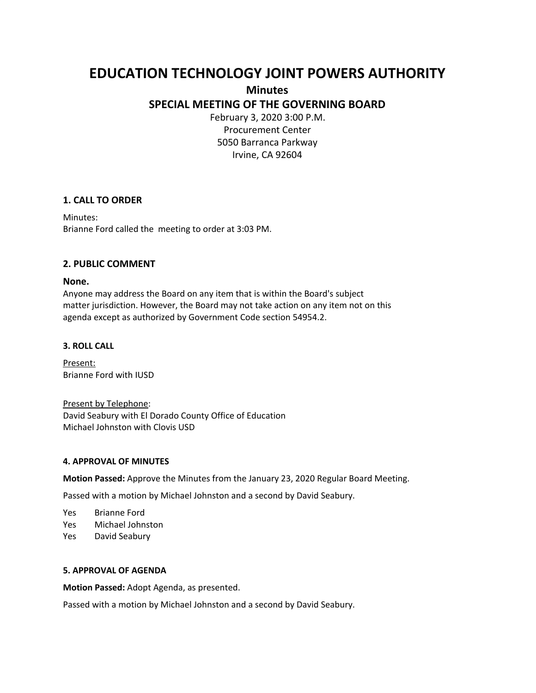# **EDUCATION TECHNOLOGY JOINT POWERS AUTHORITY**

**Minutes**

**SPECIAL MEETING OF THE GOVERNING BOARD**

February 3, 2020 3:00 P.M. Procurement Center 5050 Barranca Parkway Irvine, CA 92604

# **1. CALL TO ORDER**

Minutes: Brianne Ford called the meeting to order at 3:03 PM.

# **2. PUBLIC COMMENT**

## **None.**

Anyone may address the Board on any item that is within the Board's subject matter jurisdiction. However, the Board may not take action on any item not on this agenda except as authorized by Government Code section 54954.2.

## **3. ROLL CALL**

Present: Brianne Ford with IUSD

Present by Telephone: David Seabury with El Dorado County Office of Education Michael Johnston with Clovis USD

#### **4. APPROVAL OF MINUTES**

**Motion Passed:** Approve the Minutes from the January 23, 2020 Regular Board Meeting.

Passed with a motion by Michael Johnston and a second by David Seabury.

Yes Brianne Ford

- Yes Michael Johnston
- Yes David Seabury

#### **5. APPROVAL OF AGENDA**

**Motion Passed:** Adopt Agenda, as presented.

Passed with a motion by Michael Johnston and a second by David Seabury.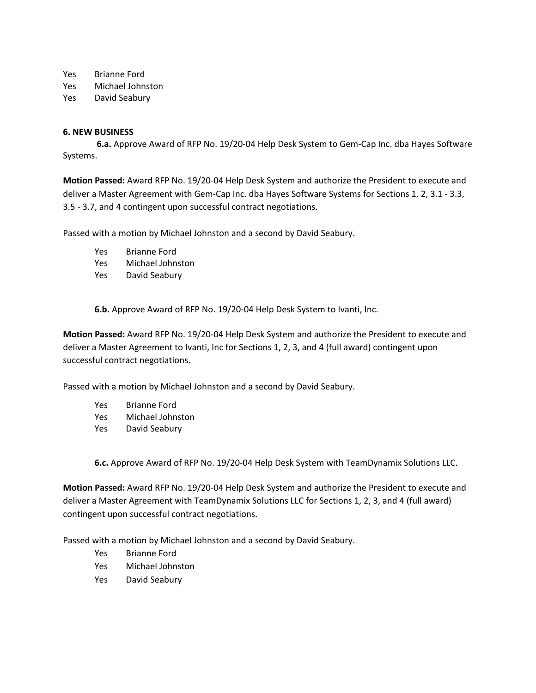Yes Brianne Ford

Yes Michael Johnston

Yes David Seabury

## **6. NEW BUSINESS**

**6.a.** Approve Award of RFP No. 19/20-04 Help Desk System to Gem-Cap Inc. dba Hayes Software Systems.

**Motion Passed:** Award RFP No. 19/20-04 Help Desk System and authorize the President to execute and deliver a Master Agreement with Gem-Cap Inc. dba Hayes Software Systems for Sections 1, 2, 3.1 - 3.3, 3.5 - 3.7, and 4 contingent upon successful contract negotiations.

Passed with a motion by Michael Johnston and a second by David Seabury.

- Yes Brianne Ford
- Yes Michael Johnston
- Yes David Seabury

**6.b.** Approve Award of RFP No. 19/20-04 Help Desk System to Ivanti, Inc.

**Motion Passed:** Award RFP No. 19/20-04 Help Desk System and authorize the President to execute and deliver a Master Agreement to Ivanti, Inc for Sections 1, 2, 3, and 4 (full award) contingent upon successful contract negotiations.

Passed with a motion by Michael Johnston and a second by David Seabury.

- Yes Brianne Ford
- Yes Michael Johnston
- Yes David Seabury

**6.c.** Approve Award of RFP No. 19/20-04 Help Desk System with TeamDynamix Solutions LLC.

**Motion Passed:** Award RFP No. 19/20-04 Help Desk System and authorize the President to execute and deliver a Master Agreement with TeamDynamix Solutions LLC for Sections 1, 2, 3, and 4 (full award) contingent upon successful contract negotiations.

Passed with a motion by Michael Johnston and a second by David Seabury.

- Yes Brianne Ford
- Yes Michael Johnston
- Yes David Seabury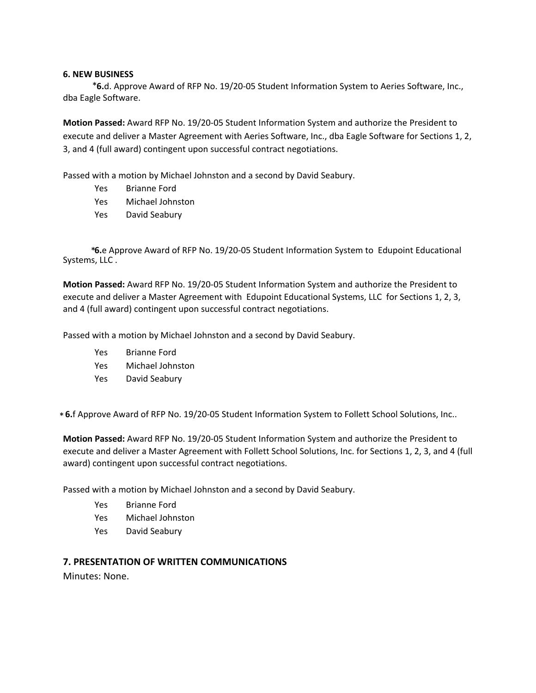#### **6. NEW BUSINESS**

**6.**d. Approve Award of RFP No. 19/20-05 Student Information System to Aeries Software, Inc., \* dba Eagle Software.

**Motion Passed:** Award RFP No. 19/20-05 Student Information System and authorize the President to execute and deliver a Master Agreement with Aeries Software, Inc., dba Eagle Software for Sections 1, 2, 3, and 4 (full award) contingent upon successful contract negotiations.

Passed with a motion by Michael Johnston and a second by David Seabury.

- Yes Brianne Ford
- Yes Michael Johnston
- Yes David Seabury

**6.**e Approve Award of RFP No. 19/20-05 Student Information System to Edupoint Educational \* Systems, LLC .

**Motion Passed:** Award RFP No. 19/20-05 Student Information System and authorize the President to execute and deliver a Master Agreement with Edupoint Educational Systems, LLC for Sections 1, 2, 3, and 4 (full award) contingent upon successful contract negotiations.

Passed with a motion by Michael Johnston and a second by David Seabury.

- Yes Brianne Ford
- Yes Michael Johnston
- Yes David Seabury

**6.**f Approve Award of RFP No. 19/20-05 Student Information System to Follett School Solutions, Inc.. \*

**Motion Passed:** Award RFP No. 19/20-05 Student Information System and authorize the President to execute and deliver a Master Agreement with Follett School Solutions, Inc. for Sections 1, 2, 3, and 4 (full award) contingent upon successful contract negotiations.

Passed with a motion by Michael Johnston and a second by David Seabury.

- Yes Brianne Ford
- Yes Michael Johnston
- Yes David Seabury

#### **7. PRESENTATION OF WRITTEN COMMUNICATIONS**

Minutes: None.